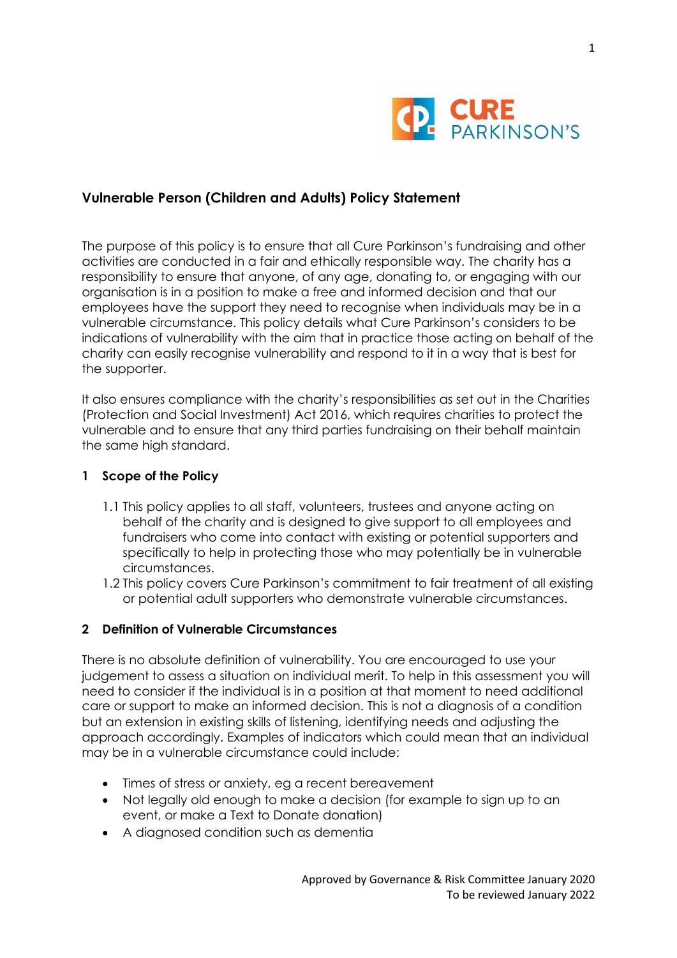

# **Vulnerable Person (Children and Adults) Policy Statement**

The purpose of this policy is to ensure that all Cure Parkinson's fundraising and other activities are conducted in a fair and ethically responsible way. The charity has a responsibility to ensure that anyone, of any age, donating to, or engaging with our organisation is in a position to make a free and informed decision and that our employees have the support they need to recognise when individuals may be in a vulnerable circumstance. This policy details what Cure Parkinson's considers to be indications of vulnerability with the aim that in practice those acting on behalf of the charity can easily recognise vulnerability and respond to it in a way that is best for the supporter.

It also ensures compliance with the charity's responsibilities as set out in the Charities (Protection and Social Investment) Act 2016, which requires charities to protect the vulnerable and to ensure that any third parties fundraising on their behalf maintain the same high standard.

#### **1 Scope of the Policy**

- 1.1 This policy applies to all staff, volunteers, trustees and anyone acting on behalf of the charity and is designed to give support to all employees and fundraisers who come into contact with existing or potential supporters and specifically to help in protecting those who may potentially be in vulnerable circumstances.
- 1.2 This policy covers Cure Parkinson's commitment to fair treatment of all existing or potential adult supporters who demonstrate vulnerable circumstances.

#### **2 Definition of Vulnerable Circumstances**

There is no absolute definition of vulnerability. You are encouraged to use your judgement to assess a situation on individual merit. To help in this assessment you will need to consider if the individual is in a position at that moment to need additional care or support to make an informed decision. This is not a diagnosis of a condition but an extension in existing skills of listening, identifying needs and adjusting the approach accordingly. Examples of indicators which could mean that an individual may be in a vulnerable circumstance could include:

- Times of stress or anxiety, eg a recent bereavement
- Not legally old enough to make a decision (for example to sign up to an event, or make a Text to Donate donation)
- A diagnosed condition such as dementia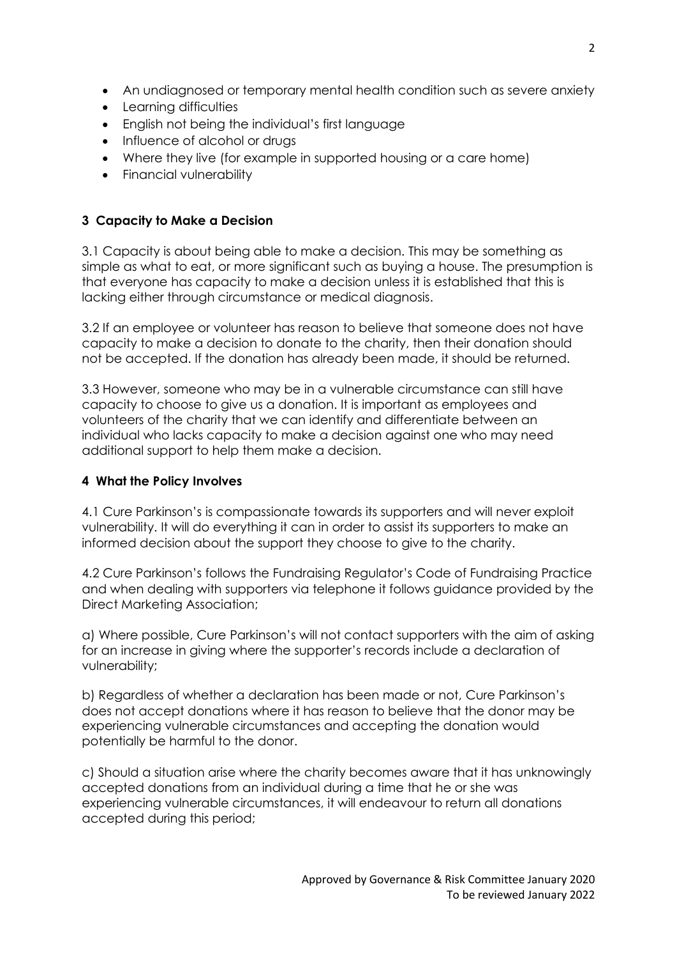- An undiagnosed or temporary mental health condition such as severe anxiety
- Learning difficulties
- English not being the individual's first language
- Influence of alcohol or drugs
- Where they live (for example in supported housing or a care home)
- Financial vulnerability

## **3 Capacity to Make a Decision**

3.1 Capacity is about being able to make a decision. This may be something as simple as what to eat, or more significant such as buying a house. The presumption is that everyone has capacity to make a decision unless it is established that this is lacking either through circumstance or medical diagnosis.

3.2 If an employee or volunteer has reason to believe that someone does not have capacity to make a decision to donate to the charity, then their donation should not be accepted. If the donation has already been made, it should be returned.

3.3 However, someone who may be in a vulnerable circumstance can still have capacity to choose to give us a donation. It is important as employees and volunteers of the charity that we can identify and differentiate between an individual who lacks capacity to make a decision against one who may need additional support to help them make a decision.

### **4 What the Policy Involves**

4.1 Cure Parkinson's is compassionate towards its supporters and will never exploit vulnerability. It will do everything it can in order to assist its supporters to make an informed decision about the support they choose to give to the charity.

4.2 Cure Parkinson's follows the Fundraising Regulator's Code of Fundraising Practice and when dealing with supporters via telephone it follows guidance provided by the Direct Marketing Association;

a) Where possible, Cure Parkinson's will not contact supporters with the aim of asking for an increase in giving where the supporter's records include a declaration of vulnerability;

b) Regardless of whether a declaration has been made or not, Cure Parkinson's does not accept donations where it has reason to believe that the donor may be experiencing vulnerable circumstances and accepting the donation would potentially be harmful to the donor.

c) Should a situation arise where the charity becomes aware that it has unknowingly accepted donations from an individual during a time that he or she was experiencing vulnerable circumstances, it will endeavour to return all donations accepted during this period;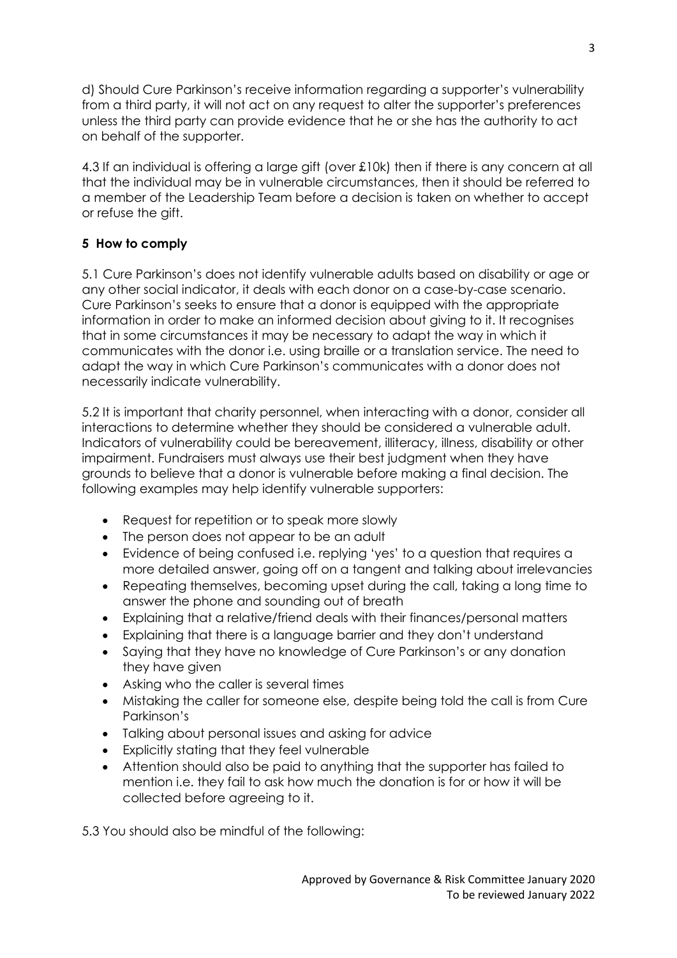d) Should Cure Parkinson's receive information regarding a supporter's vulnerability from a third party, it will not act on any request to alter the supporter's preferences unless the third party can provide evidence that he or she has the authority to act on behalf of the supporter.

4.3 If an individual is offering a large gift (over £10k) then if there is any concern at all that the individual may be in vulnerable circumstances, then it should be referred to a member of the Leadership Team before a decision is taken on whether to accept or refuse the gift.

## **5 How to comply**

5.1 Cure Parkinson's does not identify vulnerable adults based on disability or age or any other social indicator, it deals with each donor on a case-by-case scenario. Cure Parkinson's seeks to ensure that a donor is equipped with the appropriate information in order to make an informed decision about giving to it. It recognises that in some circumstances it may be necessary to adapt the way in which it communicates with the donor i.e. using braille or a translation service. The need to adapt the way in which Cure Parkinson's communicates with a donor does not necessarily indicate vulnerability.

5.2 It is important that charity personnel, when interacting with a donor, consider all interactions to determine whether they should be considered a vulnerable adult. Indicators of vulnerability could be bereavement, illiteracy, illness, disability or other impairment. Fundraisers must always use their best judgment when they have grounds to believe that a donor is vulnerable before making a final decision. The following examples may help identify vulnerable supporters:

- Request for repetition or to speak more slowly
- The person does not appear to be an adult
- Evidence of being confused i.e. replying 'yes' to a question that requires a more detailed answer, going off on a tangent and talking about irrelevancies
- Repeating themselves, becoming upset during the call, taking a long time to answer the phone and sounding out of breath
- Explaining that a relative/friend deals with their finances/personal matters
- Explaining that there is a language barrier and they don't understand
- Saying that they have no knowledge of Cure Parkinson's or any donation they have given
- Asking who the caller is several times
- Mistaking the caller for someone else, despite being told the call is from Cure Parkinson's
- Talking about personal issues and asking for advice
- Explicitly stating that they feel vulnerable
- Attention should also be paid to anything that the supporter has failed to mention i.e. they fail to ask how much the donation is for or how it will be collected before agreeing to it.

5.3 You should also be mindful of the following: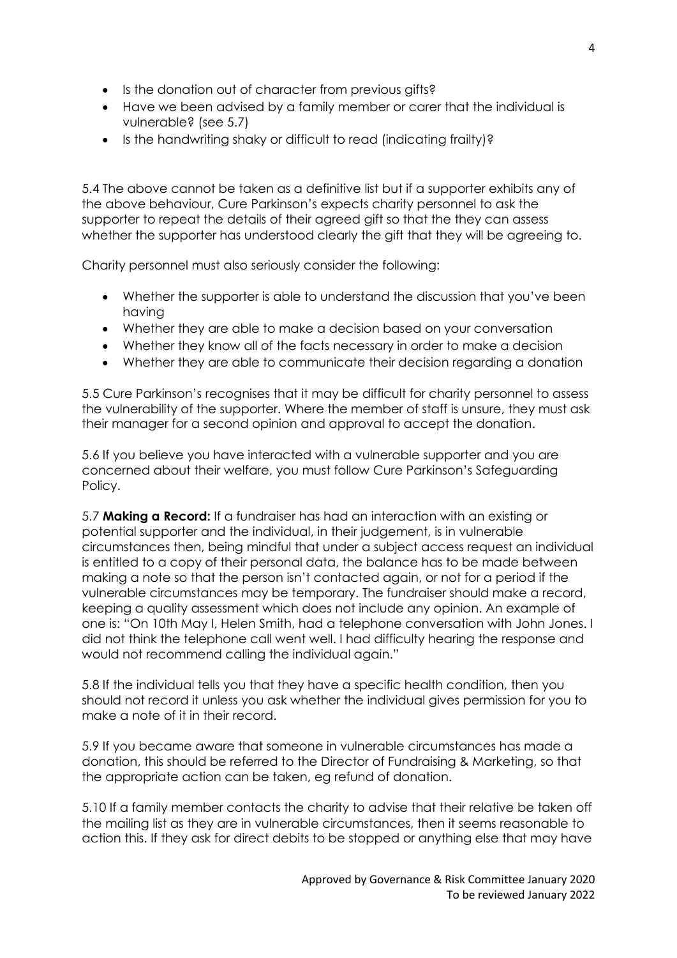- Is the donation out of character from previous gifts?
- Have we been advised by a family member or carer that the individual is vulnerable? (see 5.7)
- Is the handwriting shaky or difficult to read (indicating frailty)?

5.4 The above cannot be taken as a definitive list but if a supporter exhibits any of the above behaviour, Cure Parkinson's expects charity personnel to ask the supporter to repeat the details of their agreed gift so that the they can assess whether the supporter has understood clearly the gift that they will be agreeing to.

Charity personnel must also seriously consider the following:

- Whether the supporter is able to understand the discussion that you've been having
- Whether they are able to make a decision based on your conversation
- Whether they know all of the facts necessary in order to make a decision
- Whether they are able to communicate their decision regarding a donation

5.5 Cure Parkinson's recognises that it may be difficult for charity personnel to assess the vulnerability of the supporter. Where the member of staff is unsure, they must ask their manager for a second opinion and approval to accept the donation.

5.6 If you believe you have interacted with a vulnerable supporter and you are concerned about their welfare, you must follow Cure Parkinson's Safeguarding Policy.

5.7 **Making a Record:** If a fundraiser has had an interaction with an existing or potential supporter and the individual, in their judgement, is in vulnerable circumstances then, being mindful that under a subject access request an individual is entitled to a copy of their personal data, the balance has to be made between making a note so that the person isn't contacted again, or not for a period if the vulnerable circumstances may be temporary. The fundraiser should make a record, keeping a quality assessment which does not include any opinion. An example of one is: "On 10th May I, Helen Smith, had a telephone conversation with John Jones. I did not think the telephone call went well. I had difficulty hearing the response and would not recommend calling the individual again."

5.8 If the individual tells you that they have a specific health condition, then you should not record it unless you ask whether the individual gives permission for you to make a note of it in their record.

5.9 If you became aware that someone in vulnerable circumstances has made a donation, this should be referred to the Director of Fundraising & Marketing, so that the appropriate action can be taken, eg refund of donation.

5.10 If a family member contacts the charity to advise that their relative be taken off the mailing list as they are in vulnerable circumstances, then it seems reasonable to action this. If they ask for direct debits to be stopped or anything else that may have